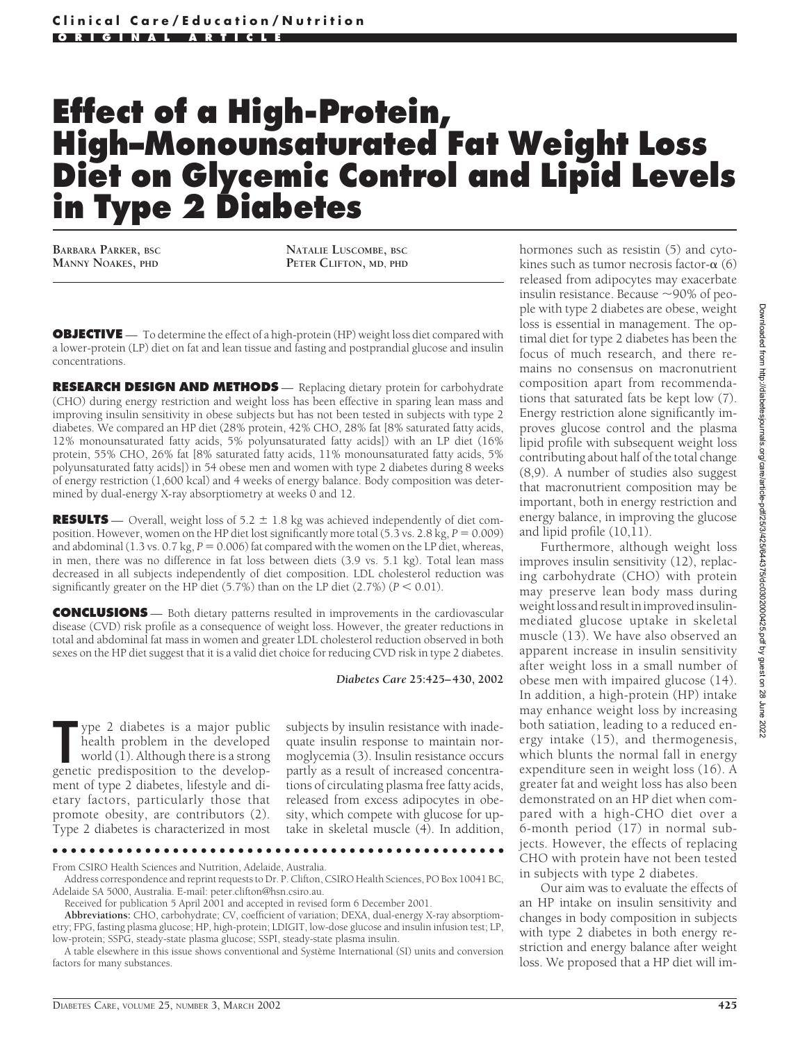# **Effect of a High-Protein, High–Monounsaturated Fat Weight Loss Diet on Glycemic Control and Lipid Levels in Type 2 Diabetes**

**BARBARA PARKER, BSC MANNY NOAKES, PHD**

**NATALIE LUSCOMBE, BSC PETER CLIFTON, MD, PHD**

**OBJECTIVE** — To determine the effect of a high-protein (HP) weight loss diet compared with a lower-protein (LP) diet on fat and lean tissue and fasting and postprandial glucose and insulin concentrations.

**RESEARCH DESIGN AND METHODS** — Replacing dietary protein for carbohydrate (CHO) during energy restriction and weight loss has been effective in sparing lean mass and improving insulin sensitivity in obese subjects but has not been tested in subjects with type 2 diabetes. We compared an HP diet (28% protein, 42% CHO, 28% fat [8% saturated fatty acids, 12% monounsaturated fatty acids, 5% polyunsaturated fatty acids]) with an LP diet (16% protein, 55% CHO, 26% fat [8% saturated fatty acids, 11% monounsaturated fatty acids, 5% polyunsaturated fatty acids]) in 54 obese men and women with type 2 diabetes during 8 weeks of energy restriction (1,600 kcal) and 4 weeks of energy balance. Body composition was determined by dual-energy X-ray absorptiometry at weeks 0 and 12.

**RESULTS** — Overall, weight loss of  $5.2 \pm 1.8$  kg was achieved independently of diet composition. However, women on the HP diet lost significantly more total  $(5.3 \text{ vs. } 2.8 \text{ kg}, P = 0.009)$ and abdominal  $(1.3 \text{ vs. } 0.7 \text{ kg}, P = 0.006)$  fat compared with the women on the LP diet, whereas, in men, there was no difference in fat loss between diets (3.9 vs. 5.1 kg). Total lean mass decreased in all subjects independently of diet composition. LDL cholesterol reduction was significantly greater on the HP diet  $(5.7%)$  than on the LP diet  $(2.7%)$   $(P < 0.01)$ .

**CONCLUSIONS** — Both dietary patterns resulted in improvements in the cardiovascular disease (CVD) risk profile as a consequence of weight loss. However, the greater reductions in total and abdominal fat mass in women and greater LDL cholesterol reduction observed in both sexes on the HP diet suggest that it is a valid diet choice for reducing CVD risk in type 2 diabetes.

*Diabetes Care* **25:425–430, 2002**

The general state is a major public health problem in the developed world (1). Although there is a strong genetic predisposition to the developype 2 diabetes is a major public health problem in the developed world (1). Although there is a strong ment of type 2 diabetes, lifestyle and dietary factors, particularly those that promote obesity, are contributors (2). Type 2 diabetes is characterized in most

subjects by insulin resistance with inadequate insulin response to maintain normoglycemia (3). Insulin resistance occurs partly as a result of increased concentrations of circulating plasma free fatty acids, released from excess adipocytes in obesity, which compete with glucose for uptake in skeletal muscle (4). In addition,

●●●●●●●●●●●●●●●●●●●●●●●●●●●●●●●●●●●●●●●●●●●●●●●●●

hormones such as resistin (5) and cytokines such as tumor necrosis factor- $\alpha$  (6) released from adipocytes may exacerbate insulin resistance. Because  $\sim$ 90% of people with type 2 diabetes are obese, weight loss is essential in management. The optimal diet for type 2 diabetes has been the focus of much research, and there remains no consensus on macronutrient composition apart from recommendations that saturated fats be kept low (7). Energy restriction alone significantly improves glucose control and the plasma lipid profile with subsequent weight loss contributing about half of the total change (8,9). A number of studies also suggest that macronutrient composition may be important, both in energy restriction and energy balance, in improving the glucose and lipid profile (10,11).

Furthermore, although weight loss improves insulin sensitivity (12), replacing carbohydrate (CHO) with protein may preserve lean body mass during weight loss and result in improved insulinmediated glucose uptake in skeletal muscle (13). We have also observed an apparent increase in insulin sensitivity after weight loss in a small number of obese men with impaired glucose (14). In addition, a high-protein (HP) intake may enhance weight loss by increasing both satiation, leading to a reduced energy intake (15), and thermogenesis, which blunts the normal fall in energy expenditure seen in weight loss (16). A greater fat and weight loss has also been demonstrated on an HP diet when compared with a high-CHO diet over a 6-month period (17) in normal subjects. However, the effects of replacing CHO with protein have not been tested in subjects with type 2 diabetes.

Our aim was to evaluate the effects of an HP intake on insulin sensitivity and changes in body composition in subjects with type 2 diabetes in both energy restriction and energy balance after weight loss. We proposed that a HP diet will im-

From CSIRO Health Sciences and Nutrition, Adelaide, Australia.

Address correspondence and reprint requests to Dr. P. Clifton, CSIRO Health Sciences, PO Box 10041 BC, Adelaide SA 5000, Australia. E-mail: peter.clifton@hsn.csiro.au.

Received for publication 5 April 2001 and accepted in revised form 6 December 2001.

**Abbreviations:** CHO, carbohydrate; CV, coefficient of variation; DEXA, dual-energy X-ray absorptiometry; FPG, fasting plasma glucose; HP, high-protein; LDIGIT, low-dose glucose and insulin infusion test; LP, low-protein; SSPG, steady-state plasma glucose; SSPI, steady-state plasma insulin.

A table elsewhere in this issue shows conventional and Système International (SI) units and conversion factors for many substances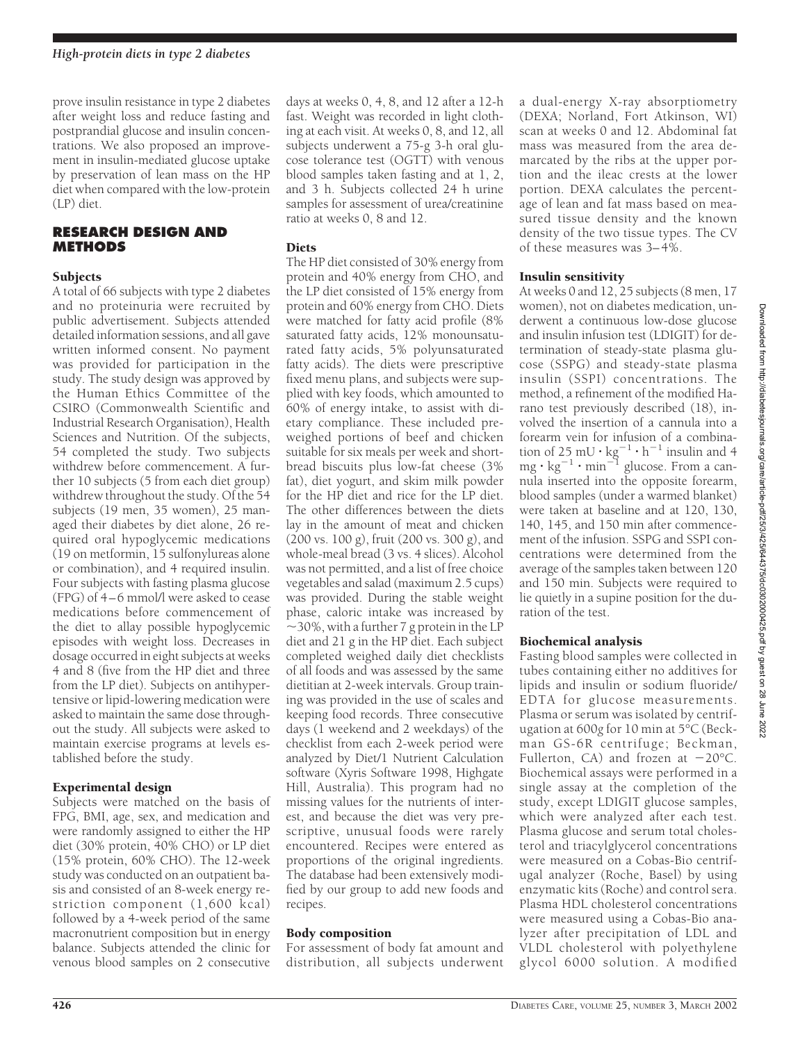prove insulin resistance in type 2 diabetes after weight loss and reduce fasting and postprandial glucose and insulin concentrations. We also proposed an improvement in insulin-mediated glucose uptake by preservation of lean mass on the HP diet when compared with the low-protein (LP) diet.

## **RESEARCH DESIGN AND METHODS**

## **Subjects**

A total of 66 subjects with type 2 diabetes and no proteinuria were recruited by public advertisement. Subjects attended detailed information sessions, and all gave written informed consent. No payment was provided for participation in the study. The study design was approved by the Human Ethics Committee of the CSIRO (Commonwealth Scientific and Industrial Research Organisation), Health Sciences and Nutrition. Of the subjects, 54 completed the study. Two subjects withdrew before commencement. A further 10 subjects (5 from each diet group) withdrew throughout the study. Of the 54 subjects (19 men, 35 women), 25 managed their diabetes by diet alone, 26 required oral hypoglycemic medications (19 on metformin, 15 sulfonylureas alone or combination), and 4 required insulin. Four subjects with fasting plasma glucose (FPG) of 4–6 mmol/l were asked to cease medications before commencement of the diet to allay possible hypoglycemic episodes with weight loss. Decreases in dosage occurred in eight subjects at weeks 4 and 8 (five from the HP diet and three from the LP diet). Subjects on antihypertensive or lipid-lowering medication were asked to maintain the same dose throughout the study. All subjects were asked to maintain exercise programs at levels established before the study.

# Experimental design

Subjects were matched on the basis of FPG, BMI, age, sex, and medication and were randomly assigned to either the HP diet (30% protein, 40% CHO) or LP diet (15% protein, 60% CHO). The 12-week study was conducted on an outpatient basis and consisted of an 8-week energy restriction component (1,600 kcal) followed by a 4-week period of the same macronutrient composition but in energy balance. Subjects attended the clinic for venous blood samples on 2 consecutive

days at weeks 0, 4, 8, and 12 after a 12-h fast. Weight was recorded in light clothing at each visit. At weeks 0, 8, and 12, all subjects underwent a 75-g 3-h oral glucose tolerance test (OGTT) with venous blood samples taken fasting and at 1, 2, and 3 h. Subjects collected 24 h urine samples for assessment of urea/creatinine ratio at weeks 0, 8 and 12.

# **Diets**

The HP diet consisted of 30% energy from protein and 40% energy from CHO, and the LP diet consisted of 15% energy from protein and 60% energy from CHO. Diets were matched for fatty acid profile (8% saturated fatty acids, 12% monounsaturated fatty acids, 5% polyunsaturated fatty acids). The diets were prescriptive fixed menu plans, and subjects were supplied with key foods, which amounted to 60% of energy intake, to assist with dietary compliance. These included preweighed portions of beef and chicken suitable for six meals per week and shortbread biscuits plus low-fat cheese (3% fat), diet yogurt, and skim milk powder for the HP diet and rice for the LP diet. The other differences between the diets lay in the amount of meat and chicken (200 vs. 100 g), fruit (200 vs. 300 g), and whole-meal bread (3 vs. 4 slices). Alcohol was not permitted, and a list of free choice vegetables and salad (maximum 2.5 cups) was provided. During the stable weight phase, caloric intake was increased by  $\sim$ 30%, with a further 7 g protein in the LP diet and 21 g in the HP diet. Each subject completed weighed daily diet checklists of all foods and was assessed by the same dietitian at 2-week intervals. Group training was provided in the use of scales and keeping food records. Three consecutive days (1 weekend and 2 weekdays) of the checklist from each 2-week period were analyzed by Diet/1 Nutrient Calculation software (Xyris Software 1998, Highgate Hill, Australia). This program had no missing values for the nutrients of interest, and because the diet was very prescriptive, unusual foods were rarely encountered. Recipes were entered as proportions of the original ingredients. The database had been extensively modified by our group to add new foods and recipes.

# Body composition

For assessment of body fat amount and distribution, all subjects underwent a dual-energy X-ray absorptiometry (DEXA; Norland, Fort Atkinson, WI) scan at weeks 0 and 12. Abdominal fat mass was measured from the area demarcated by the ribs at the upper portion and the ileac crests at the lower portion. DEXA calculates the percentage of lean and fat mass based on measured tissue density and the known density of the two tissue types. The CV of these measures was 3– 4%.

# Insulin sensitivity

At weeks 0 and 12, 25 subjects (8 men, 17 women), not on diabetes medication, underwent a continuous low-dose glucose and insulin infusion test (LDIGIT) for determination of steady-state plasma glucose (SSPG) and steady-state plasma insulin (SSPI) concentrations. The method, a refinement of the modified Harano test previously described (18), involved the insertion of a cannula into a forearm vein for infusion of a combination of 25 mU  $\cdot$  kg<sup>-1</sup>  $\cdot$  h<sup>-1</sup> insulin and 4 mg  $\cdot$  kg $^{-1}$   $\cdot$  min $^{-1}$  glucose. From a cannula inserted into the opposite forearm, blood samples (under a warmed blanket) were taken at baseline and at 120, 130, 140, 145, and 150 min after commencement of the infusion. SSPG and SSPI concentrations were determined from the average of the samples taken between 120 and 150 min. Subjects were required to lie quietly in a supine position for the duration of the test.

# Biochemical analysis

Fasting blood samples were collected in tubes containing either no additives for lipids and insulin or sodium fluoride/ EDTA for glucose measurements. Plasma or serum was isolated by centrifugation at 600*g* for 10 min at 5°C (Beckman GS-6R centrifuge; Beckman, Fullerton, CA) and frozen at  $-20^{\circ}$ C. Biochemical assays were performed in a single assay at the completion of the study, except LDIGIT glucose samples, which were analyzed after each test. Plasma glucose and serum total cholesterol and triacylglycerol concentrations were measured on a Cobas-Bio centrifugal analyzer (Roche, Basel) by using enzymatic kits (Roche) and control sera. Plasma HDL cholesterol concentrations were measured using a Cobas-Bio analyzer after precipitation of LDL and VLDL cholesterol with polyethylene glycol 6000 solution. A modified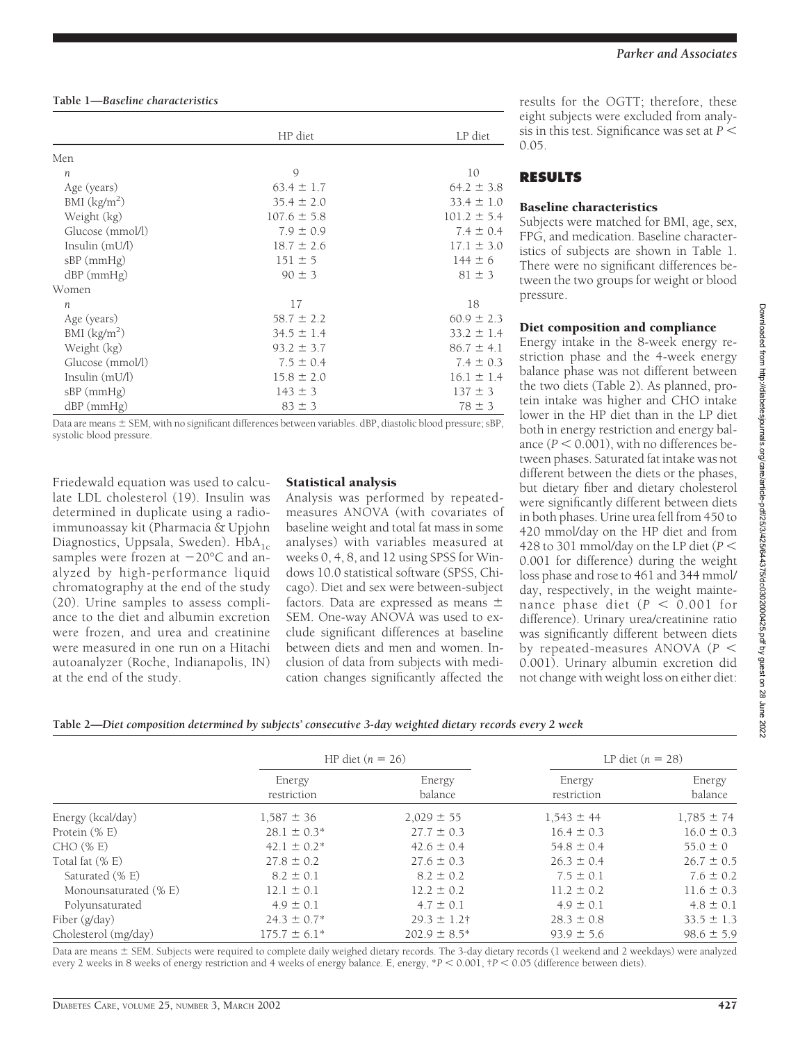|                  | HP diet         | LP diet         |
|------------------|-----------------|-----------------|
| Men              |                 |                 |
| $\boldsymbol{n}$ | 9               | 10              |
| Age (years)      | $63.4 \pm 1.7$  | $64.2 \pm 3.8$  |
| BMI $(kg/m2)$    | $35.4 \pm 2.0$  | $33.4 \pm 1.0$  |
| Weight (kg)      | $107.6 \pm 5.8$ | $101.2 \pm 5.4$ |
| Glucose (mmol/l) | $7.9 \pm 0.9$   | $7.4 \pm 0.4$   |
| Insulin (mU/l)   | $18.7 \pm 2.6$  | $17.1 \pm 3.0$  |
| $sBP$ (mm $Hg$ ) | $151 \pm 5$     | $144 \pm 6$     |
| $dBP$ (mmHg)     | $90 \pm 3$      | $81 \pm 3$      |
| Women            |                 |                 |
| $\boldsymbol{n}$ | 17              | 18              |
| Age (years)      | $58.7 \pm 2.2$  | $60.9 \pm 2.3$  |
| BMI $(kg/m2)$    | $34.5 \pm 1.4$  | $33.2 \pm 1.4$  |
| Weight (kg)      | $93.2 \pm 3.7$  | $86.7 \pm 4.1$  |
| Glucose (mmol/l) | $7.5 \pm 0.4$   | $7.4 \pm 0.3$   |
| Insulin (mU/l)   | $15.8 \pm 2.0$  | $16.1 \pm 1.4$  |
| $sBP$ (mm $Hg$ ) | $143 \pm 3$     | $137 \pm 3$     |
| $dBP$ (mmHg)     | $83 \pm 3$      | $78 \pm 3$      |

Data are means  $\pm$  SEM, with no significant differences between variables. dBP, diastolic blood pressure; sBP, systolic blood pressure.

Friedewald equation was used to calculate LDL cholesterol (19). Insulin was determined in duplicate using a radioimmunoassay kit (Pharmacia & Upjohn Diagnostics, Uppsala, Sweden).  $HbA_{1c}$ samples were frozen at  $-20^{\circ}$ C and analyzed by high-performance liquid chromatography at the end of the study (20). Urine samples to assess compliance to the diet and albumin excretion were frozen, and urea and creatinine were measured in one run on a Hitachi autoanalyzer (Roche, Indianapolis, IN) at the end of the study.

#### Statistical analysis

Analysis was performed by repeatedmeasures ANOVA (with covariates of baseline weight and total fat mass in some analyses) with variables measured at weeks 0, 4, 8, and 12 using SPSS for Windows 10.0 statistical software (SPSS, Chicago). Diet and sex were between-subject factors. Data are expressed as means SEM. One-way ANOVA was used to exclude significant differences at baseline between diets and men and women. Inclusion of data from subjects with medication changes significantly affected the

results for the OGTT; therefore, these eight subjects were excluded from analysis in this test. Significance was set at *P* 0.05.

# **RESULTS**

#### Baseline characteristics

Subjects were matched for BMI, age, sex, FPG, and medication. Baseline characteristics of subjects are shown in Table 1. There were no significant differences between the two groups for weight or blood pressure.

#### Diet composition and compliance

Energy intake in the 8-week energy restriction phase and the 4-week energy balance phase was not different between the two diets (Table 2). As planned, protein intake was higher and CHO intake lower in the HP diet than in the LP diet both in energy restriction and energy balance  $(P < 0.001)$ , with no differences between phases. Saturated fat intake was not different between the diets or the phases, but dietary fiber and dietary cholesterol were significantly different between diets in both phases. Urine urea fell from 450 to 420 mmol/day on the HP diet and from 428 to 301 mmol/day on the LP diet (*P* 0.001 for difference) during the weight loss phase and rose to 461 and 344 mmol/ day, respectively, in the weight maintenance phase diet ( $P < 0.001$  for difference). Urinary urea/creatinine ratio was significantly different between diets by repeated-measures ANOVA (*P* 0.001). Urinary albumin excretion did not change with weight loss on either diet:

**Table 2—***Diet composition determined by subjects' consecutive 3-day weighted dietary records every 2 week*

|                       | HP diet $(n = 26)$    |                   |                       | LP diet $(n = 28)$ |
|-----------------------|-----------------------|-------------------|-----------------------|--------------------|
|                       | Energy<br>restriction | Energy<br>balance | Energy<br>restriction | Energy<br>balance  |
| Energy (kcal/day)     | $1,587 \pm 36$        | $2,029 \pm 55$    | $1,543 \pm 44$        | $1,785 \pm 74$     |
| Protein $(\% E)$      | $28.1 \pm 0.3^*$      | $27.7 \pm 0.3$    | $16.4 \pm 0.3$        | $16.0 \pm 0.3$     |
| $CHO$ (% E)           | $42.1 \pm 0.2^*$      | $42.6 \pm 0.4$    | $54.8 \pm 0.4$        | $55.0 \pm 0$       |
| Total fat $(\% E)$    | $27.8 \pm 0.2$        | $27.6 \pm 0.3$    | $26.3 \pm 0.4$        | $26.7 \pm 0.5$     |
| Saturated (% E)       | $8.2 \pm 0.1$         | $8.2 \pm 0.2$     | $7.5 \pm 0.1$         | $7.6 \pm 0.2$      |
| Monounsaturated (% E) | $12.1 \pm 0.1$        | $12.2 \pm 0.2$    | $11.2 \pm 0.2$        | $11.6 \pm 0.3$     |
| Polyunsaturated       | $4.9 \pm 0.1$         | $4.7 \pm 0.1$     | $4.9 \pm 0.1$         | $4.8 \pm 0.1$      |
| Fiber (g/day)         | $24.3 \pm 0.7^*$      | $29.3 \pm 1.2$ †  | $28.3 \pm 0.8$        | $33.5 \pm 1.3$     |
| Cholesterol (mg/day)  | $175.7 \pm 6.1*$      | $202.9 \pm 8.5^*$ | $93.9 \pm 5.6$        | $98.6 \pm 5.9$     |

Data are means  $\pm$  SEM. Subjects were required to complete daily weighed dietary records. The 3-day dietary records (1 weekend and 2 weekdays) were analyzed every 2 weeks in 8 weeks of energy restriction and 4 weeks of energy balance. E, energy, \**P* < 0.001,  $\uparrow$  *P* < 0.05 (difference between diets).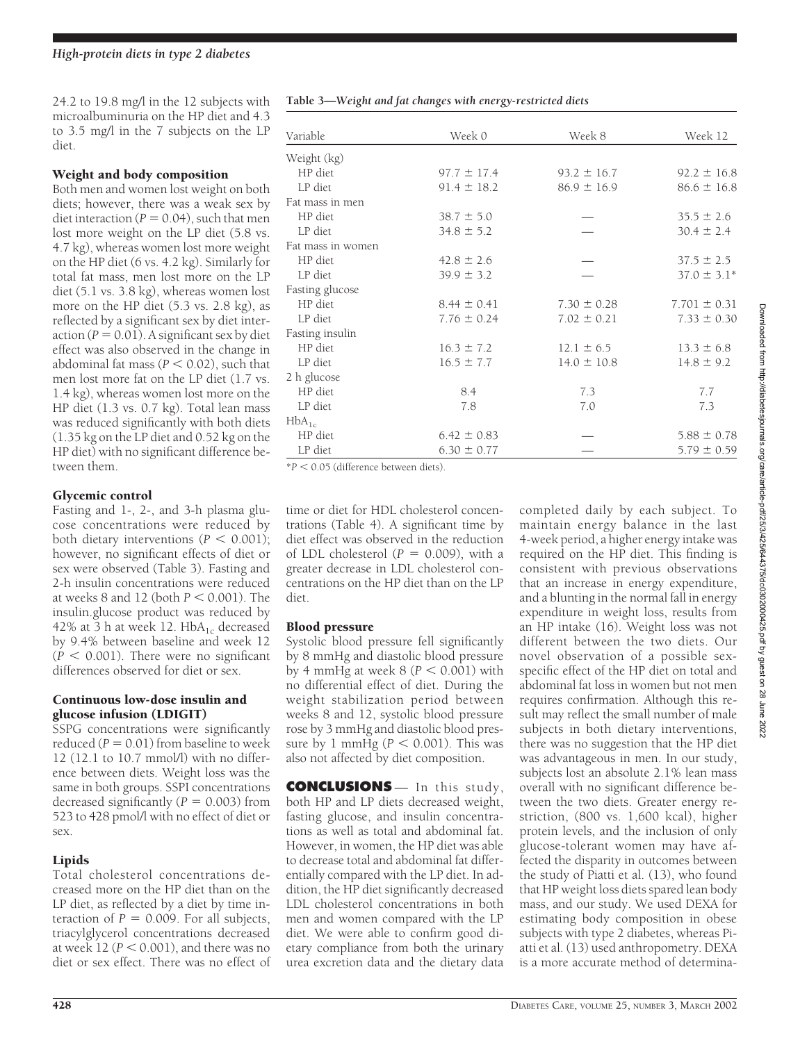Downloaded from http://diabetesjournals.org/care/article-pdf/25/3/425/644375/dc0302000425.pdf by guest on 28 June Downloaded from http://diabetesjournals.org/care/article-pdf/25/3/425/644375/dc0302000425.pdf by guest on 28 June 2022

2022

24.2 to 19.8 mg/l in the 12 subjects with microalbuminuria on the HP diet and 4.3 to 3.5 mg/l in the 7 subjects on the LP diet.

#### Weight and body composition

Both men and women lost weight on both diets; however, there was a weak sex by diet interaction ( $P = 0.04$ ), such that men lost more weight on the LP diet (5.8 vs. 4.7 kg), whereas women lost more weight on the HP diet (6 vs. 4.2 kg). Similarly for total fat mass, men lost more on the LP diet (5.1 vs. 3.8 kg), whereas women lost more on the HP diet (5.3 vs. 2.8 kg), as reflected by a significant sex by diet inter $action (P = 0.01)$ . A significant sex by diet effect was also observed in the change in abdominal fat mass  $(P < 0.02)$ , such that men lost more fat on the LP diet (1.7 vs. 1.4 kg), whereas women lost more on the HP diet (1.3 vs. 0.7 kg). Total lean mass was reduced significantly with both diets (1.35 kg on the LP diet and 0.52 kg on the HP diet) with no significant difference between them.

## Glycemic control

Fasting and 1-, 2-, and 3-h plasma glucose concentrations were reduced by both dietary interventions  $(P < 0.001)$ ; however, no significant effects of diet or sex were observed (Table 3). Fasting and 2-h insulin concentrations were reduced at weeks 8 and 12 (both  $P < 0.001$ ). The insulin.glucose product was reduced by 42% at 3 h at week 12.  $HbA_{1c}$  decreased by 9.4% between baseline and week 12  $(P < 0.001)$ . There were no significant differences observed for diet or sex.

#### Continuous low-dose insulin and glucose infusion (LDIGIT)

SSPG concentrations were significantly  $reduced (P = 0.01)$  from baseline to week 12 (12.1 to 10.7 mmol/l) with no difference between diets. Weight loss was the same in both groups. SSPI concentrations decreased significantly  $(P = 0.003)$  from 523 to 428 pmol/l with no effect of diet or sex.

# Lipids

Total cholesterol concentrations decreased more on the HP diet than on the LP diet, as reflected by a diet by time interaction of  $P = 0.009$ . For all subjects, triacylglycerol concentrations decreased at week  $12 (P < 0.001)$ , and there was no diet or sex effect. There was no effect of

|  |  |  | Table 3-Weight and fat changes with energy-restricted diets |  |
|--|--|--|-------------------------------------------------------------|--|
|  |  |  |                                                             |  |

| Variable          | Week 0          | Week 8          | Week 12          |  |
|-------------------|-----------------|-----------------|------------------|--|
| Weight (kg)       |                 |                 |                  |  |
| HP diet           | $97.7 \pm 17.4$ | $93.2 \pm 16.7$ | $92.2 \pm 16.8$  |  |
| LP diet           | $91.4 \pm 18.2$ | $86.9 \pm 16.9$ | $86.6 \pm 16.8$  |  |
| Fat mass in men   |                 |                 |                  |  |
| HP diet           | $38.7 \pm 5.0$  |                 | $35.5 \pm 2.6$   |  |
| LP diet           | $34.8 \pm 5.2$  |                 | $30.4 \pm 2.4$   |  |
| Fat mass in women |                 |                 |                  |  |
| HP diet           | $42.8 \pm 2.6$  |                 | $37.5 \pm 2.5$   |  |
| LP diet           | $39.9 \pm 3.2$  |                 | $37.0 \pm 3.1*$  |  |
| Fasting glucose   |                 |                 |                  |  |
| HP diet           | $8.44 \pm 0.41$ | $7.30 \pm 0.28$ | $7.701 \pm 0.31$ |  |
| LP diet           | $7.76 \pm 0.24$ | $7.02 \pm 0.21$ | $7.33 \pm 0.30$  |  |
| Fasting insulin   |                 |                 |                  |  |
| HP diet           | $16.3 \pm 7.2$  | $12.1 \pm 6.5$  | $13.3 \pm 6.8$   |  |
| LP diet           | $16.5 \pm 7.7$  | $14.0 \pm 10.8$ | $14.8 \pm 9.2$   |  |
| 2 h glucose       |                 |                 |                  |  |
| HP diet           | 8.4             | 7.3             | 7.7              |  |
| LP diet           | 7.8             | 7.0             | 7.3              |  |
| $HbA_{1c}$        |                 |                 |                  |  |
| HP diet           | $6.42 \pm 0.83$ |                 | $5.88 \pm 0.78$  |  |
| LP diet           | $6.30 \pm 0.77$ |                 | $5.79 \pm 0.59$  |  |

 $*P < 0.05$  (difference between diets).

time or diet for HDL cholesterol concentrations (Table 4). A significant time by diet effect was observed in the reduction of LDL cholesterol  $(P = 0.009)$ , with a greater decrease in LDL cholesterol concentrations on the HP diet than on the LP diet.

# Blood pressure

Systolic blood pressure fell significantly by 8 mmHg and diastolic blood pressure by 4 mmHg at week  $8 (P < 0.001)$  with no differential effect of diet. During the weight stabilization period between weeks 8 and 12, systolic blood pressure rose by 3 mmHg and diastolic blood pressure by 1 mmHg ( $P < 0.001$ ). This was also not affected by diet composition.

**CONCLUSIONS** — In this study, both HP and LP diets decreased weight, fasting glucose, and insulin concentrations as well as total and abdominal fat. However, in women, the HP diet was able to decrease total and abdominal fat differentially compared with the LP diet. In addition, the HP diet significantly decreased LDL cholesterol concentrations in both men and women compared with the LP diet. We were able to confirm good dietary compliance from both the urinary urea excretion data and the dietary data completed daily by each subject. To maintain energy balance in the last 4-week period, a higher energy intake was required on the HP diet. This finding is consistent with previous observations that an increase in energy expenditure, and a blunting in the normal fall in energy expenditure in weight loss, results from an HP intake (16). Weight loss was not different between the two diets. Our novel observation of a possible sexspecific effect of the HP diet on total and abdominal fat loss in women but not men requires confirmation. Although this result may reflect the small number of male subjects in both dietary interventions, there was no suggestion that the HP diet was advantageous in men. In our study, subjects lost an absolute 2.1% lean mass overall with no significant difference between the two diets. Greater energy restriction, (800 vs. 1,600 kcal), higher protein levels, and the inclusion of only glucose-tolerant women may have affected the disparity in outcomes between the study of Piatti et al. (13), who found that HP weight loss diets spared lean body mass, and our study. We used DEXA for estimating body composition in obese subjects with type 2 diabetes, whereas Piatti et al. (13) used anthropometry. DEXA is a more accurate method of determina-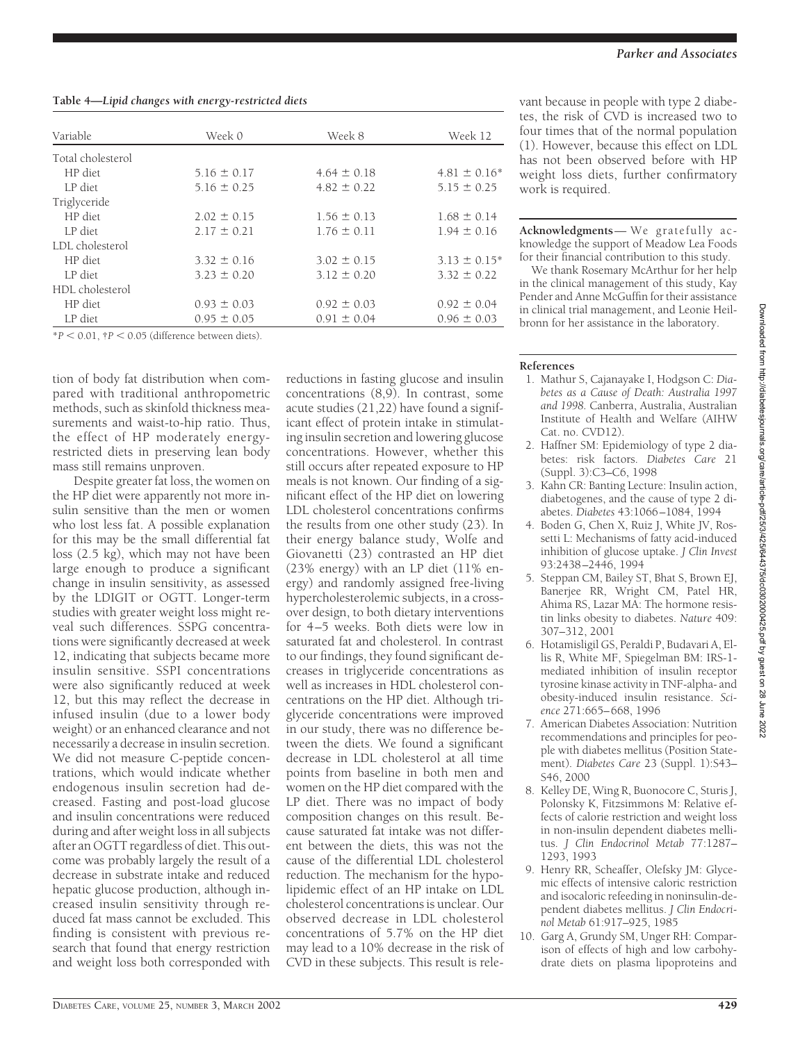**Table 4—***Lipid changes with energy-restricted diets*

| Variable          | Week 0          | Week 8          | Week 12           |  |
|-------------------|-----------------|-----------------|-------------------|--|
| Total cholesterol |                 |                 |                   |  |
| HP diet           | $5.16 \pm 0.17$ | $4.64 \pm 0.18$ | $4.81 \pm 0.16^*$ |  |
| LP diet           | $5.16 \pm 0.25$ | $4.82 \pm 0.22$ | $5.15 \pm 0.25$   |  |
| Triglyceride      |                 |                 |                   |  |
| HP diet           | $2.02 \pm 0.15$ | $1.56 \pm 0.13$ | $1.68 \pm 0.14$   |  |
| LP diet           | $2.17 \pm 0.21$ | $1.76 \pm 0.11$ | $1.94 \pm 0.16$   |  |
| LDL cholesterol   |                 |                 |                   |  |
| HP diet           | $3.32 \pm 0.16$ | $3.02 \pm 0.15$ | $3.13 \pm 0.15^*$ |  |
| LP diet           | $3.23 \pm 0.20$ | $3.12 \pm 0.20$ | $3.32 \pm 0.22$   |  |
| HDL cholesterol   |                 |                 |                   |  |
| HP diet           | $0.93 \pm 0.03$ | $0.92 \pm 0.03$ | $0.92 \pm 0.04$   |  |
| LP diet           | $0.95 \pm 0.05$ | $0.91 \pm 0.04$ | $0.96 \pm 0.03$   |  |

 $*P < 0.01$ ,  $P < 0.05$  (difference between diets).

tion of body fat distribution when compared with traditional anthropometric methods, such as skinfold thickness measurements and waist-to-hip ratio. Thus, the effect of HP moderately energyrestricted diets in preserving lean body mass still remains unproven.

Despite greater fat loss, the women on the HP diet were apparently not more insulin sensitive than the men or women who lost less fat. A possible explanation for this may be the small differential fat loss (2.5 kg), which may not have been large enough to produce a significant change in insulin sensitivity, as assessed by the LDIGIT or OGTT. Longer-term studies with greater weight loss might reveal such differences. SSPG concentrations were significantly decreased at week 12, indicating that subjects became more insulin sensitive. SSPI concentrations were also significantly reduced at week 12, but this may reflect the decrease in infused insulin (due to a lower body weight) or an enhanced clearance and not necessarily a decrease in insulin secretion. We did not measure C-peptide concentrations, which would indicate whether endogenous insulin secretion had decreased. Fasting and post-load glucose and insulin concentrations were reduced during and after weight loss in all subjects after an OGTT regardless of diet. This outcome was probably largely the result of a decrease in substrate intake and reduced hepatic glucose production, although increased insulin sensitivity through reduced fat mass cannot be excluded. This finding is consistent with previous research that found that energy restriction and weight loss both corresponded with

reductions in fasting glucose and insulin concentrations (8,9). In contrast, some acute studies (21,22) have found a significant effect of protein intake in stimulating insulin secretion and lowering glucose concentrations. However, whether this still occurs after repeated exposure to HP meals is not known. Our finding of a significant effect of the HP diet on lowering LDL cholesterol concentrations confirms the results from one other study (23). In their energy balance study, Wolfe and Giovanetti (23) contrasted an HP diet (23% energy) with an LP diet (11% energy) and randomly assigned free-living hypercholesterolemic subjects, in a crossover design, to both dietary interventions for 4–5 weeks. Both diets were low in saturated fat and cholesterol. In contrast to our findings, they found significant decreases in triglyceride concentrations as well as increases in HDL cholesterol concentrations on the HP diet. Although triglyceride concentrations were improved in our study, there was no difference between the diets. We found a significant decrease in LDL cholesterol at all time points from baseline in both men and women on the HP diet compared with the LP diet. There was no impact of body composition changes on this result. Because saturated fat intake was not different between the diets, this was not the cause of the differential LDL cholesterol reduction. The mechanism for the hypolipidemic effect of an HP intake on LDL cholesterol concentrations is unclear. Our observed decrease in LDL cholesterol concentrations of 5.7% on the HP diet may lead to a 10% decrease in the risk of CVD in these subjects. This result is relevant because in people with type 2 diabetes, the risk of CVD is increased two to four times that of the normal population (1). However, because this effect on LDL has not been observed before with HP weight loss diets, further confirmatory work is required.

**Acknowledgments**— We gratefully acknowledge the support of Meadow Lea Foods for their financial contribution to this study.

We thank Rosemary McArthur for her help in the clinical management of this study, Kay Pender and Anne McGuffin for their assistance in clinical trial management, and Leonie Heilbronn for her assistance in the laboratory.

## **References**

- 1. Mathur S, Cajanayake I, Hodgson C: *Diabetes as a Cause of Death: Australia 1997 and 1998.* Canberra, Australia, Australian Institute of Health and Welfare (AIHW Cat. no. CVD12).
- 2. Haffner SM: Epidemiology of type 2 diabetes: risk factors. *Diabetes Care* 21 (Suppl. 3):C3–C6, 1998
- 3. Kahn CR: Banting Lecture: Insulin action, diabetogenes, and the cause of type 2 diabetes. *Diabetes* 43:1066–1084, 1994
- 4. Boden G, Chen X, Ruiz J, White JV, Rossetti L: Mechanisms of fatty acid-induced inhibition of glucose uptake. *J Clin Invest* 93:2438–2446, 1994
- 5. Steppan CM, Bailey ST, Bhat S, Brown EJ, Banerjee RR, Wright CM, Patel HR, Ahima RS, Lazar MA: The hormone resistin links obesity to diabetes. *Nature* 409: 307–312, 2001
- 6. Hotamisligil GS, Peraldi P, Budavari A, Ellis R, White MF, Spiegelman BM: IRS-1 mediated inhibition of insulin receptor tyrosine kinase activity in TNF-alpha- and obesity-induced insulin resistance. *Science* 271:665–668, 1996
- 7. American Diabetes Association: Nutrition recommendations and principles for people with diabetes mellitus (Position Statement). *Diabetes Care* 23 (Suppl. 1):S43– S46, 2000
- 8. Kelley DE, Wing R, Buonocore C, Sturis J, Polonsky K, Fitzsimmons M: Relative effects of calorie restriction and weight loss in non-insulin dependent diabetes mellitus. *J Clin Endocrinol Metab* 77:1287– 1293, 1993
- 9. Henry RR, Scheaffer, Olefsky JM: Glycemic effects of intensive caloric restriction and isocaloric refeeding in noninsulin-dependent diabetes mellitus. *J Clin Endocrinol Metab* 61:917–925, 1985
- 10. Garg A, Grundy SM, Unger RH: Comparison of effects of high and low carbohydrate diets on plasma lipoproteins and